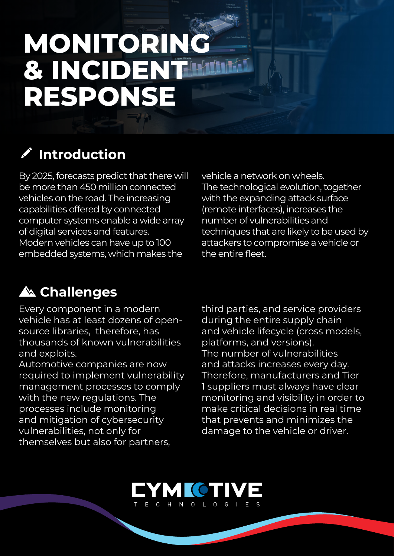## **MONITORING** *<u>B. INCIDENT MILLER</u>* **RESPONSE**

## **AND RESIDENCE Introduction**

By 2025, forecasts predict that there will be more than 450 million connected vehicles on the road. The increasing capabilities offered by connected computer systems enable a wide array of digital services and features. Modern vehicles can have up to 100 embedded systems, which makes the

vehicle a network on wheels. The technological evolution, together with the expanding attack surface (remote interfaces), increases the number of vulnerabilities and techniques that are likely to be used by attackers to compromise a vehicle or the entire fleet.

## **Challenges**

Every component in a modern vehicle has at least dozens of open-<br>source libraries, therefore, has thousands of known vulnerabilities and exploits.

Automotive companies are now required to implement vulnerability management processes to comply with the new regulations. The processes include monitoring and mitigation of cybersecurity vulnerabilities, not only for themselves but also for partners,

third parties, and service providers during the entire supply chain and vehicle lifecycle (cross models. platforms, and versions). The number of vulnerabilities and attacks increases every day. Therefore, manufacturers and Tier 1 suppliers must always have clear monitoring and visibility in order to make critical decisions in real time that prevents and minimizes the damage to the vehicle or driver.